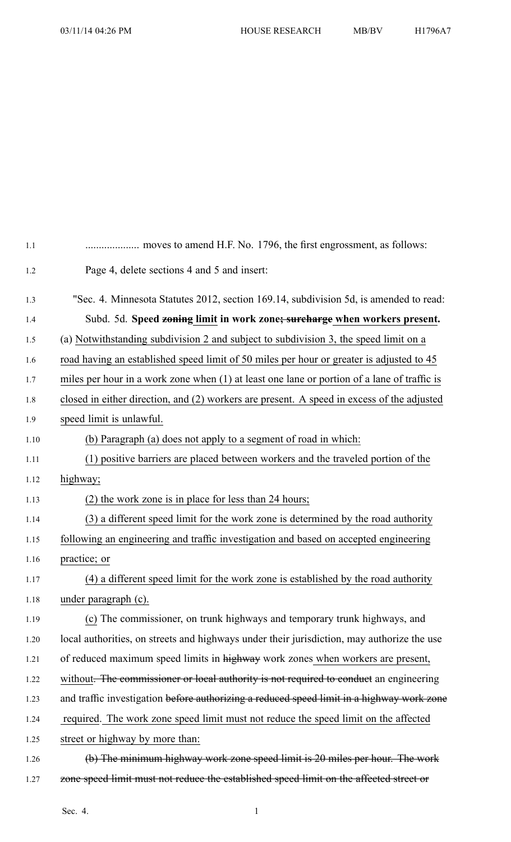| 1.1  |                                                                                               |
|------|-----------------------------------------------------------------------------------------------|
| 1.2  | Page 4, delete sections 4 and 5 and insert:                                                   |
| 1.3  | "Sec. 4. Minnesota Statutes 2012, section 169.14, subdivision 5d, is amended to read:         |
| 1.4  | Subd. 5d. Speed zoning limit in work zone; surcharge when workers present.                    |
| 1.5  | (a) Notwithstanding subdivision 2 and subject to subdivision 3, the speed limit on a          |
| 1.6  | road having an established speed limit of 50 miles per hour or greater is adjusted to 45      |
| 1.7  | miles per hour in a work zone when $(1)$ at least one lane or portion of a lane of traffic is |
| 1.8  | closed in either direction, and (2) workers are present. A speed in excess of the adjusted    |
| 1.9  | speed limit is unlawful.                                                                      |
| 1.10 | (b) Paragraph (a) does not apply to a segment of road in which:                               |
| 1.11 | (1) positive barriers are placed between workers and the traveled portion of the              |
| 1.12 | highway;                                                                                      |
| 1.13 | (2) the work zone is in place for less than 24 hours;                                         |
| 1.14 | (3) a different speed limit for the work zone is determined by the road authority             |
| 1.15 | following an engineering and traffic investigation and based on accepted engineering          |
| 1.16 | practice; or                                                                                  |
| 1.17 | (4) a different speed limit for the work zone is established by the road authority            |
| 1.18 | under paragraph (c).                                                                          |
| 1.19 | (c) The commissioner, on trunk highways and temporary trunk highways, and                     |
| 1.20 | local authorities, on streets and highways under their jurisdiction, may authorize the use    |
| 1.21 | of reduced maximum speed limits in highway work zones when workers are present,               |
| 1.22 | without. The commissioner or local authority is not required to conduct an engineering        |
| 1.23 | and traffic investigation before authorizing a reduced speed limit in a highway work zone     |
| 1.24 | required. The work zone speed limit must not reduce the speed limit on the affected           |
| 1.25 | street or highway by more than:                                                               |
| 1.26 | (b) The minimum highway work zone speed limit is 20 miles per hour. The work                  |
| 1.27 | zone speed limit must not reduce the established speed limit on the affected street or        |